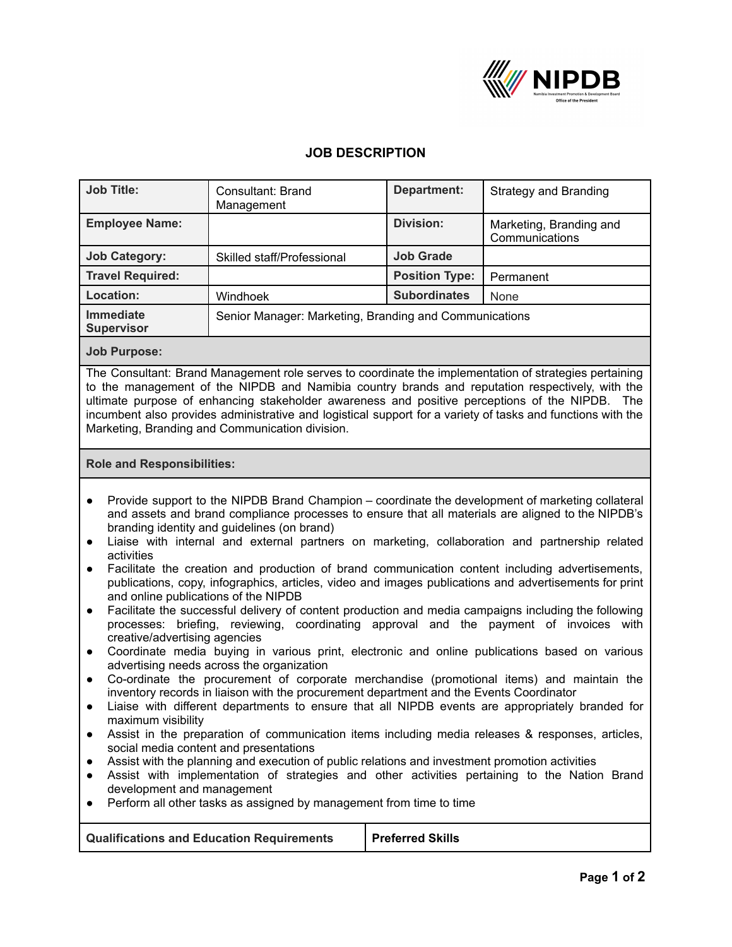

## **JOB DESCRIPTION**

| <b>Job Title:</b>                                                                                                                                                                                                                                                                                                                                                                                                                                                                                                                                                                                                                                                                                                                                                                                                                                                                                                                                                                                                                                                                                                                                                                                                                                                                                                                                                                                                                                                                                                                                                                                                                                                                                                                                                                                                                                                                                     | Consultant: Brand<br>Management                        | <b>Department:</b>    | <b>Strategy and Branding</b>              |  |
|-------------------------------------------------------------------------------------------------------------------------------------------------------------------------------------------------------------------------------------------------------------------------------------------------------------------------------------------------------------------------------------------------------------------------------------------------------------------------------------------------------------------------------------------------------------------------------------------------------------------------------------------------------------------------------------------------------------------------------------------------------------------------------------------------------------------------------------------------------------------------------------------------------------------------------------------------------------------------------------------------------------------------------------------------------------------------------------------------------------------------------------------------------------------------------------------------------------------------------------------------------------------------------------------------------------------------------------------------------------------------------------------------------------------------------------------------------------------------------------------------------------------------------------------------------------------------------------------------------------------------------------------------------------------------------------------------------------------------------------------------------------------------------------------------------------------------------------------------------------------------------------------------------|--------------------------------------------------------|-----------------------|-------------------------------------------|--|
| <b>Employee Name:</b>                                                                                                                                                                                                                                                                                                                                                                                                                                                                                                                                                                                                                                                                                                                                                                                                                                                                                                                                                                                                                                                                                                                                                                                                                                                                                                                                                                                                                                                                                                                                                                                                                                                                                                                                                                                                                                                                                 |                                                        | <b>Division:</b>      | Marketing, Branding and<br>Communications |  |
| <b>Job Category:</b>                                                                                                                                                                                                                                                                                                                                                                                                                                                                                                                                                                                                                                                                                                                                                                                                                                                                                                                                                                                                                                                                                                                                                                                                                                                                                                                                                                                                                                                                                                                                                                                                                                                                                                                                                                                                                                                                                  | Skilled staff/Professional                             | <b>Job Grade</b>      |                                           |  |
| <b>Travel Required:</b>                                                                                                                                                                                                                                                                                                                                                                                                                                                                                                                                                                                                                                                                                                                                                                                                                                                                                                                                                                                                                                                                                                                                                                                                                                                                                                                                                                                                                                                                                                                                                                                                                                                                                                                                                                                                                                                                               |                                                        | <b>Position Type:</b> | Permanent                                 |  |
| Location:                                                                                                                                                                                                                                                                                                                                                                                                                                                                                                                                                                                                                                                                                                                                                                                                                                                                                                                                                                                                                                                                                                                                                                                                                                                                                                                                                                                                                                                                                                                                                                                                                                                                                                                                                                                                                                                                                             | Windhoek                                               | <b>Subordinates</b>   | None                                      |  |
| <b>Immediate</b><br><b>Supervisor</b>                                                                                                                                                                                                                                                                                                                                                                                                                                                                                                                                                                                                                                                                                                                                                                                                                                                                                                                                                                                                                                                                                                                                                                                                                                                                                                                                                                                                                                                                                                                                                                                                                                                                                                                                                                                                                                                                 | Senior Manager: Marketing, Branding and Communications |                       |                                           |  |
| <b>Job Purpose:</b>                                                                                                                                                                                                                                                                                                                                                                                                                                                                                                                                                                                                                                                                                                                                                                                                                                                                                                                                                                                                                                                                                                                                                                                                                                                                                                                                                                                                                                                                                                                                                                                                                                                                                                                                                                                                                                                                                   |                                                        |                       |                                           |  |
| The Consultant: Brand Management role serves to coordinate the implementation of strategies pertaining<br>to the management of the NIPDB and Namibia country brands and reputation respectively, with the<br>ultimate purpose of enhancing stakeholder awareness and positive perceptions of the NIPDB. The<br>incumbent also provides administrative and logistical support for a variety of tasks and functions with the<br>Marketing, Branding and Communication division.                                                                                                                                                                                                                                                                                                                                                                                                                                                                                                                                                                                                                                                                                                                                                                                                                                                                                                                                                                                                                                                                                                                                                                                                                                                                                                                                                                                                                         |                                                        |                       |                                           |  |
| <b>Role and Responsibilities:</b>                                                                                                                                                                                                                                                                                                                                                                                                                                                                                                                                                                                                                                                                                                                                                                                                                                                                                                                                                                                                                                                                                                                                                                                                                                                                                                                                                                                                                                                                                                                                                                                                                                                                                                                                                                                                                                                                     |                                                        |                       |                                           |  |
| Provide support to the NIPDB Brand Champion – coordinate the development of marketing collateral<br>$\bullet$<br>and assets and brand compliance processes to ensure that all materials are aligned to the NIPDB's<br>branding identity and guidelines (on brand)<br>Liaise with internal and external partners on marketing, collaboration and partnership related<br>$\bullet$<br>activities<br>Facilitate the creation and production of brand communication content including advertisements,<br>$\bullet$<br>publications, copy, infographics, articles, video and images publications and advertisements for print<br>and online publications of the NIPDB<br>Facilitate the successful delivery of content production and media campaigns including the following<br>$\bullet$<br>processes: briefing, reviewing, coordinating approval and the payment of invoices with<br>creative/advertising agencies<br>Coordinate media buying in various print, electronic and online publications based on various<br>$\bullet$<br>advertising needs across the organization<br>Co-ordinate the procurement of corporate merchandise (promotional items) and maintain the<br>$\bullet$<br>inventory records in liaison with the procurement department and the Events Coordinator<br>Liaise with different departments to ensure that all NIPDB events are appropriately branded for<br>maximum visibility<br>Assist in the preparation of communication items including media releases & responses, articles,<br>$\bullet$<br>social media content and presentations<br>Assist with the planning and execution of public relations and investment promotion activities<br>$\bullet$<br>Assist with implementation of strategies and other activities pertaining to the Nation Brand<br>$\bullet$<br>development and management<br>Perform all other tasks as assigned by management from time to time |                                                        |                       |                                           |  |
| <b>Preferred Skills</b><br><b>Qualifications and Education Requirements</b>                                                                                                                                                                                                                                                                                                                                                                                                                                                                                                                                                                                                                                                                                                                                                                                                                                                                                                                                                                                                                                                                                                                                                                                                                                                                                                                                                                                                                                                                                                                                                                                                                                                                                                                                                                                                                           |                                                        |                       |                                           |  |
|                                                                                                                                                                                                                                                                                                                                                                                                                                                                                                                                                                                                                                                                                                                                                                                                                                                                                                                                                                                                                                                                                                                                                                                                                                                                                                                                                                                                                                                                                                                                                                                                                                                                                                                                                                                                                                                                                                       |                                                        |                       |                                           |  |